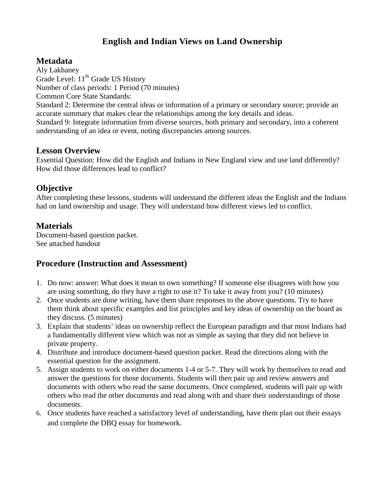# **English and Indian Views on Land Ownership**

#### **Metadata**

Aly Lakhaney Grade Level: 11<sup>th</sup> Grade US History Number of class periods: 1 Period (70 minutes) Common Core State Standards: Standard 2: Determine the central ideas or information of a primary or secondary source; provide an accurate summary that makes clear the relationships among the key details and ideas. Standard 9: Integrate information from diverse sources, both primary and secondary, into a coherent

understanding of an idea or event, noting discrepancies among sources.

#### **Lesson Overview**

Essential Question: How did the English and Indians in New England view and use land differently? How did those differences lead to conflict?

#### **Objective**

After completing these lessons, students will understand the different ideas the English and the Indians had on land ownership and usage. They will understand how different views led to conflict.

# **Materials**

Document-based question packet. See attached handout

## **Procedure (Instruction and Assessment)**

- 1. Do now: answer: What does it mean to own something? If someone else disagrees with how you are using something, do they have a right to use it? To take it away from you? (10 minutes)
- 2. Once students are done writing, have them share responses to the above questions. Try to have them think about specific examples and list principles and key ideas of ownership on the board as they discuss. (5 minutes)
- 3. Explain that students' ideas on ownership reflect the European paradigm and that most Indians had a fundamentally different view which was not as simple as saying that they did not believe in private property.
- 4. Distribute and introduce document-based question packet. Read the directions along with the essential question for the assignment.
- 5. Assign students to work on either documents 1-4 or 5-7. They will work by themselves to read and answer the questions for those documents. Students will then pair up and review answers and documents with others who read the same documents. Once completed, students will pair up with others who read the other documents and read along with and share their understandings of those documents.
- 6. Once students have reached a satisfactory level of understanding, have them plan out their essays and complete the DBQ essay for homework.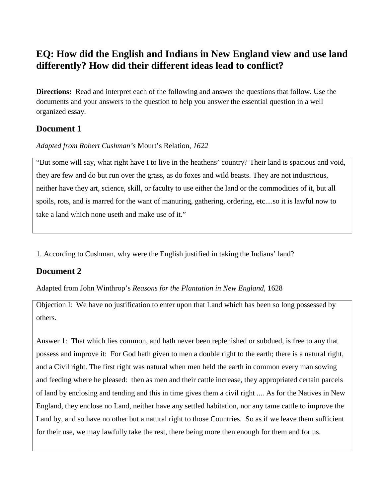# **EQ: How did the English and Indians in New England view and use land differently? How did their different ideas lead to conflict?**

**Directions:** Read and interpret each of the following and answer the questions that follow. Use the documents and your answers to the question to help you answer the essential question in a well organized essay.

#### **Document 1**

*Adapted from Robert Cushman's* Mourt's Relation, *1622*

"But some will say, what right have I to live in the heathens' country? Their land is spacious and void, they are few and do but run over the grass, as do foxes and wild beasts. They are not industrious, neither have they art, science, skill, or faculty to use either the land or the commodities of it, but all spoils, rots, and is marred for the want of manuring, gathering, ordering, etc....so it is lawful now to take a land which none useth and make use of it."

1. According to Cushman, why were the English justified in taking the Indians' land?

## **Document 2**

Adapted from John Winthrop's *Reasons for the Plantation in New England,* 1628

Objection I: We have no justification to enter upon that Land which has been so long possessed by others.

Answer 1: That which lies common, and hath never been replenished or subdued, is free to any that possess and improve it: For God hath given to men a double right to the earth; there is a natural right, and a Civil right. The first right was natural when men held the earth in common every man sowing and feeding where he pleased: then as men and their cattle increase, they appropriated certain parcels of land by enclosing and tending and this in time gives them a civil right .... As for the Natives in New England, they enclose no Land, neither have any settled habitation, nor any tame cattle to improve the Land by, and so have no other but a natural right to those Countries. So as if we leave them sufficient for their use, we may lawfully take the rest, there being more then enough for them and for us.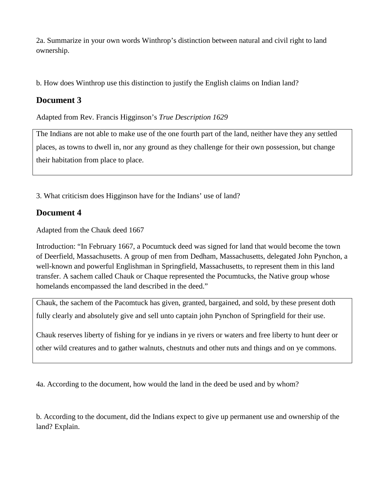2a. Summarize in your own words Winthrop's distinction between natural and civil right to land ownership.

b. How does Winthrop use this distinction to justify the English claims on Indian land?

#### **Document 3**

Adapted from Rev. Francis Higginson's *True Description 1629*

The Indians are not able to make use of the one fourth part of the land, neither have they any settled places, as towns to dwell in, nor any ground as they challenge for their own possession, but change their habitation from place to place.

3. What criticism does Higginson have for the Indians' use of land?

#### **Document 4**

Adapted from the Chauk deed 1667

Introduction: "In February 1667, a Pocumtuck deed was signed for land that would become the town of Deerfield, Massachusetts. A group of men from Dedham, Massachusetts, delegated John Pynchon, a well-known and powerful Englishman in Springfield, Massachusetts, to represent them in this land transfer. A sachem called Chauk or Chaque represented the Pocumtucks, the Native group whose homelands encompassed the land described in the deed."

Chauk, the sachem of the Pacomtuck has given, granted, bargained, and sold, by these present doth fully clearly and absolutely give and sell unto captain john Pynchon of Springfield for their use.

Chauk reserves liberty of fishing for ye indians in ye rivers or waters and free liberty to hunt deer or other wild creatures and to gather walnuts, chestnuts and other nuts and things and on ye commons.

4a. According to the document, how would the land in the deed be used and by whom?

b. According to the document, did the Indians expect to give up permanent use and ownership of the land? Explain.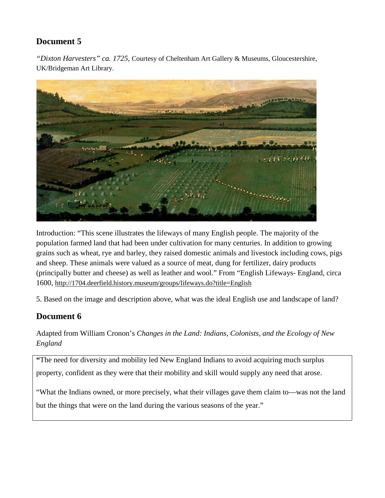## **Document 5**

*"Dixton Harvesters" ca. 1725,* Courtesy of Cheltenham Art Gallery & Museums, Gloucestershire, UK/Bridgeman Art Library.



Introduction: "This scene illustrates the lifeways of many English people. The majority of the population farmed land that had been under cultivation for many centuries. In addition to growing grains such as wheat, rye and barley, they raised domestic animals and livestock including cows, pigs and sheep. These animals were valued as a source of meat, dung for fertilizer, dairy products (principally butter and cheese) as well as leather and wool." From "English Lifeways- England, circa 1600,<http://1704.deerfield.history.museum/groups/lifeways.do?title=English>

5. Based on the image and description above, what was the ideal English use and landscape of land?

## **Document 6**

Adapted from William Cronon's *Changes in the Land: Indians, Colonists, and the Ecology of New England*

**"**The need for diversity and mobility led New England Indians to avoid acquiring much surplus property, confident as they were that their mobility and skill would supply any need that arose.

"What the Indians owned, or more precisely, what their villages gave them claim to—was not the land but the things that were on the land during the various seasons of the year."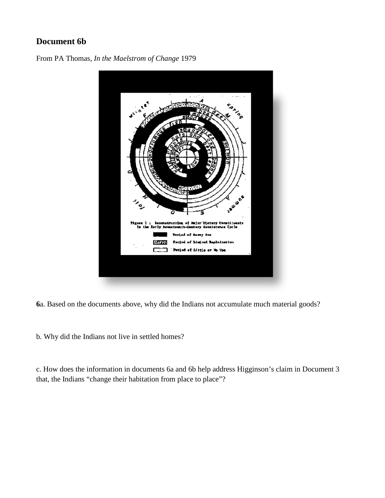#### **Document 6b**





**6**a. Based on the documents above, why did the Indians not accumulate much material goods?

b. Why did the Indians not live in settled homes?

c. How does the information in documents 6a and 6b help address Higginson's claim in Document 3 that, the Indians "change their habitation from place to place"?